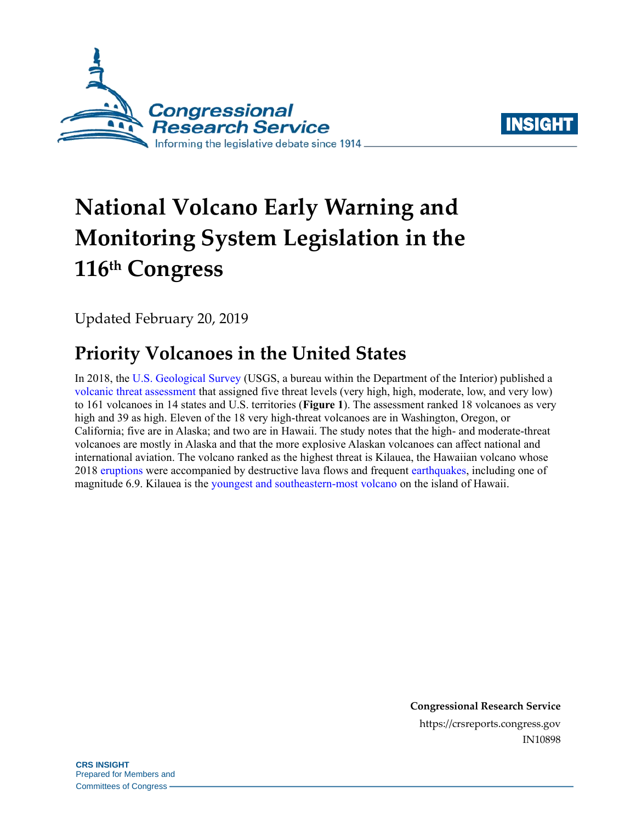



# **National Volcano Early Warning and Monitoring System Legislation in the 116 th Congress**

Updated February 20, 2019

## **Priority Volcanoes in the United States**

In 2018, the [U.S. Geological Survey](https://www.usgs.gov/science-explorer-results?es=Landslides) (USGS, a bureau within the Department of the Interior) published a [volcanic threat assessment](https://pubs.er.usgs.gov/publication/sir20185140) that assigned five threat levels (very high, high, moderate, low, and very low) to 161 volcanoes in 14 states and U.S. territories (**[Figure 1](#page-1-0)**). The assessment ranked 18 volcanoes as very high and 39 as high. Eleven of the 18 very high-threat volcanoes are in Washington, Oregon, or California; five are in Alaska; and two are in Hawaii. The study notes that the high- and moderate-threat volcanoes are mostly in Alaska and that the more explosive Alaskan volcanoes can affect national and international aviation. The volcano ranked as the highest threat is Kilauea, the Hawaiian volcano whose 201[8 eruptions](https://volcanoes.usgs.gov/volcanoes/kilauea/extra/background.pdf) were accompanied by destructive lava flows and frequent [earthquakes,](https://volcanoes.usgs.gov/observatories/hvo/about_earthquakes.html) including one of magnitude 6.9. Kilauea is the [youngest and southeastern-most volcano](https://www.usgs.gov/news/kilauea-volcano-erupts) on the island of Hawaii.

> **Congressional Research Service** https://crsreports.congress.gov IN10898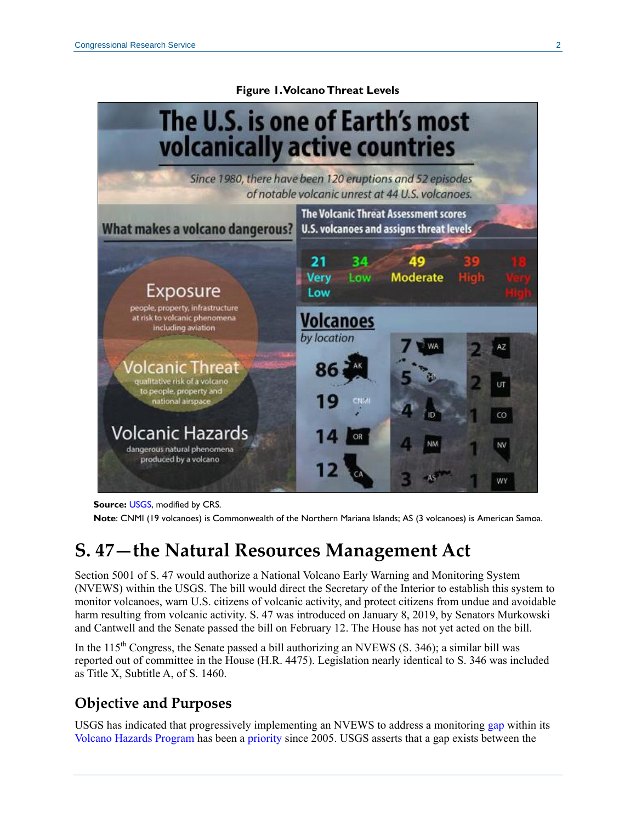#### <span id="page-1-0"></span>The U.S. is one of Earth's most volcanically active countries Since 1980, there have been 120 eruptions and 52 episodes of notable volcanic unrest at 44 U.S. volcanoes. The Volcanic Threat Assessment scores What makes a volcano dangerous? **U.S. volcanoes and assigns threat levels** 21 34 49 **Verv Moderate** Low Exposure Low people, property, infrastructure **Volcanoes** at risk to volcanic phenomena<br>including aviation by location 'olcanic Threat qualitative risk of a volcano to people, property and national airspace ĊΟ Volcanic Hazards dangerous natural phenomena produced by a volcano wy

**Figure 1. Volcano Threat Levels**

**Source:** [USGS,](https://volcanoes.usgs.gov/index.html) modified by CRS.

**Note**: CNMI (19 volcanoes) is Commonwealth of the Northern Mariana Islands; AS (3 volcanoes) is American Samoa.

### **[S. 47—](http://www.congress.gov/cgi-lis/bdquery/z?d116:S.47:)the Natural Resources Management Act**

Section 5001 of [S. 47](http://www.congress.gov/cgi-lis/bdquery/z?d116:S.47:) would authorize a National Volcano Early Warning and Monitoring System (NVEWS) within the USGS. The bill would direct the Secretary of the Interior to establish this system to monitor volcanoes, warn U.S. citizens of volcanic activity, and protect citizens from undue and avoidable harm resulting from volcanic activity. [S. 47](http://www.congress.gov/cgi-lis/bdquery/z?d116:S.47:) was introduced on January 8, 2019, by Senators Murkowski and Cantwell and the Senate passed the bill on February 12. The House has not yet acted on the bill.

In the  $115<sup>th</sup>$  Congress, the Senate passed a bill authorizing an NVEWS [\(S. 346\)](http://www.congress.gov/cgi-lis/bdquery/z?d115:S.346:); a similar bill was reported out of committee in the House [\(H.R. 4475\)](http://www.congress.gov/cgi-lis/bdquery/z?d115:H.R.4475:). Legislation nearly identical to [S. 346](http://www.congress.gov/cgi-lis/bdquery/z?d115:S.346:) was included as Title X, Subtitle A, of [S. 1460.](http://www.congress.gov/cgi-lis/bdquery/z?d115:S.1460:)

### **Objective and Purposes**

USGS has indicated that progressively implementing an NVEWS to address a monitoring [gap](https://pubs.usgs.gov/fs/2006/3142/) within its [Volcano Hazards Program](https://volcanoes.usgs.gov/index.html) has been a [priority](https://volcanoes.usgs.gov/vhp/nvews.html) since 2005. USGS asserts that a gap exists between the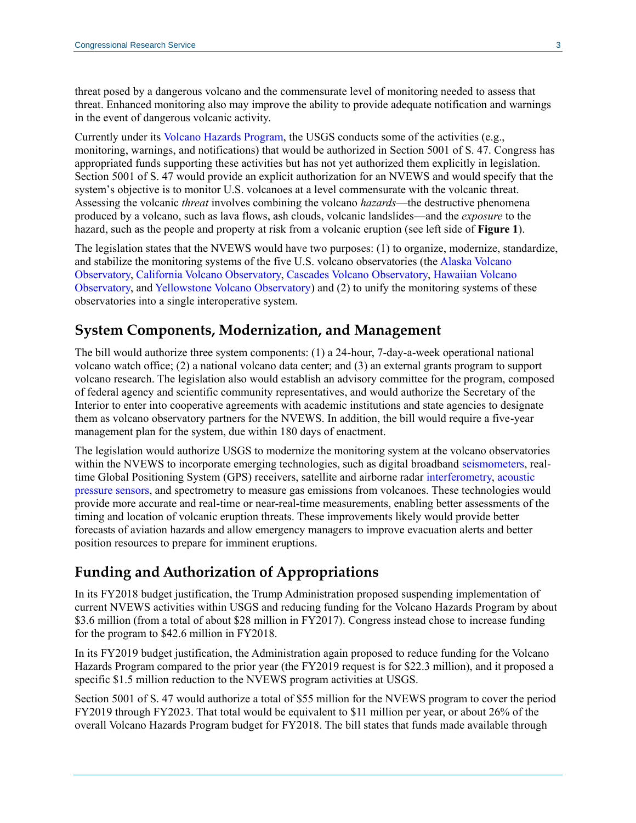threat posed by a dangerous volcano and the commensurate level of monitoring needed to assess that threat. Enhanced monitoring also may improve the ability to provide adequate notification and warnings in the event of dangerous volcanic activity.

Currently under its [Volcano Hazards Program,](https://volcanoes.usgs.gov/vhp/about.html) the USGS conducts some of the activities (e.g., monitoring, warnings, and notifications) that would be authorized in Section 5001 of [S. 47.](http://www.congress.gov/cgi-lis/bdquery/z?d116:S.47:) Congress has appropriated funds supporting these activities but has not yet authorized them explicitly in legislation. Section 5001 of [S. 47](http://www.congress.gov/cgi-lis/bdquery/z?d116:S.47:) would provide an explicit authorization for an NVEWS and would specify that the system's objective is to monitor U.S. volcanoes at a level commensurate with the volcanic threat. Assessing the volcanic *threat* involves combining the volcano *hazards*—the destructive phenomena produced by a volcano, such as lava flows, ash clouds, volcanic landslides—and the *exposure* to the hazard, such as the people and property at risk from a volcanic eruption (see left side of **[Figure 1](#page-1-0)**).

The legislation states that the NVEWS would have two purposes: (1) to organize, modernize, standardize, and stabilize the monitoring systems of the five U.S. volcano observatories (the [Alaska Volcano](https://www.avo.alaska.edu/)  [Observatory,](https://www.avo.alaska.edu/) [California Volcano Observatory,](https://volcanoes.usgs.gov/observatories/calvo/) [Cascades Volcano Observatory,](https://volcanoes.usgs.gov/observatories/cvo/) [Hawaiian Volcano](https://volcanoes.usgs.gov/observatories/hvo/)  [Observatory,](https://volcanoes.usgs.gov/observatories/hvo/) an[d Yellowstone Volcano Observatory\)](https://volcanoes.usgs.gov/observatories/yvo/) and (2) to unify the monitoring systems of these observatories into a single interoperative system.

#### **System Components, Modernization, and Management**

The bill would authorize three system components: (1) a 24-hour, 7-day-a-week operational national volcano watch office; (2) a national volcano data center; and (3) an external grants program to support volcano research. The legislation also would establish an advisory committee for the program, composed of federal agency and scientific community representatives, and would authorize the Secretary of the Interior to enter into cooperative agreements with academic institutions and state agencies to designate them as volcano observatory partners for the NVEWS. In addition, the bill would require a five-year management plan for the system, due within 180 days of enactment.

The legislation would authorize USGS to modernize the monitoring system at the volcano observatories within the NVEWS to incorporate emerging technologies, such as digital broadband [seismometers,](https://earthquake.usgs.gov/learn/topics/keeping_track.php) realtime Global Positioning System (GPS) receivers, satellite and airborne radar [interferometry,](http://www.esa.int/Our_Activities/Observing_the_Earth/How_does_interferometry_work) [acoustic](https://www.washington.edu/news/2017/09/21/hacking-a-pressure-sensor-to-track-gradual-motion-along-marine-faults/)  [pressure sensors,](https://www.washington.edu/news/2017/09/21/hacking-a-pressure-sensor-to-track-gradual-motion-along-marine-faults/) and spectrometry to measure gas emissions from volcanoes. These technologies would provide more accurate and real-time or near-real-time measurements, enabling better assessments of the timing and location of volcanic eruption threats. These improvements likely would provide better forecasts of aviation hazards and allow emergency managers to improve evacuation alerts and better position resources to prepare for imminent eruptions.

#### **Funding and Authorization of Appropriations**

In its FY2018 budget justification, the Trump Administration proposed suspending implementation of current NVEWS activities within USGS and reducing funding for the Volcano Hazards Program by about \$3.6 million (from a total of about \$28 million in FY2017). Congress instead chose to increase funding for the program to \$42.6 million in FY2018.

In its FY2019 budget justification, the Administration again proposed to reduce funding for the Volcano Hazards Program compared to the prior year (the FY2019 request is for \$22.3 million), and it proposed a specific \$1.5 million reduction to the NVEWS program activities at USGS.

Section 5001 of [S. 47](http://www.congress.gov/cgi-lis/bdquery/z?d116:S.47:) would authorize a total of \$55 million for the NVEWS program to cover the period FY2019 through FY2023. That total would be equivalent to \$11 million per year, or about 26% of the overall Volcano Hazards Program budget for FY2018. The bill states that funds made available through